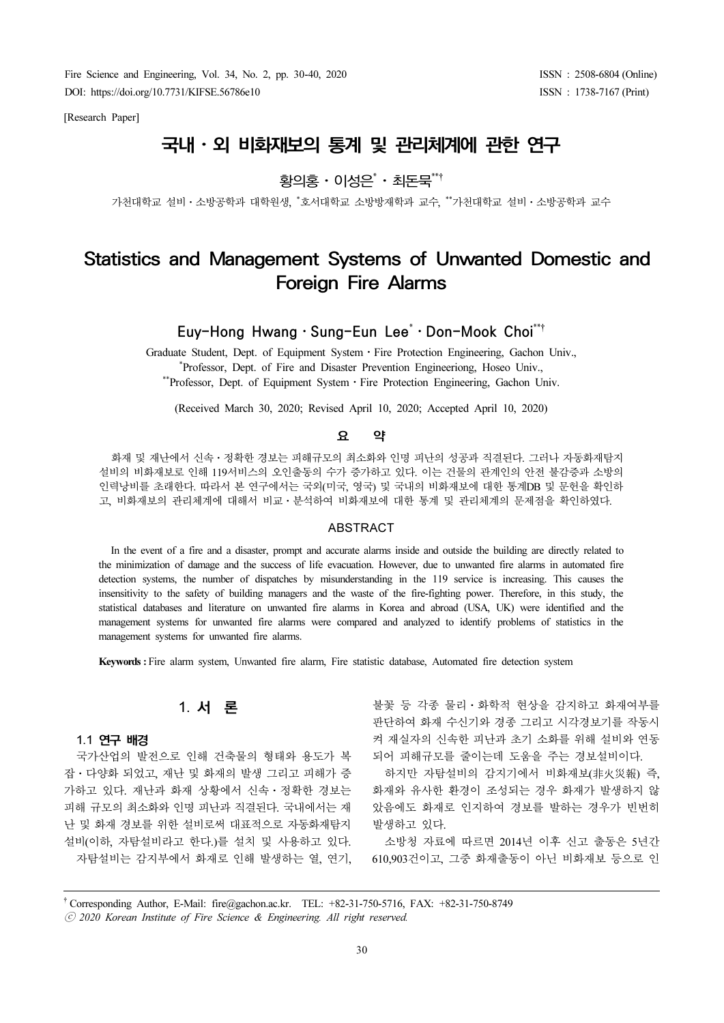Fire Science and Engineering, Vol. 34, No. 2, pp. 30-40, 2020 DOI: https://doi.org/10.7731/KIFSE.56786e10

[Research Paper]

# 국내⋅외 비화재보의 통계 및 관리체계에 관한 연구 ⋅

**개모의 농게 및 판디제**<br>황의홍·이성은\*·최돈묵<sup>\*\*</sup>

- <mark>황의홍ㆍ이성은 ㆍ 최돈묵¨'</mark><br>가천대학교 설비ㆍ소방공학과 대학원생, \*호서대학교 소방방재학과 교수, \*\*가천대학교 설비ㆍ소방공학과 교수

# Statistics and Management Systems of Unwanted Domestic and Foreign Fire Alarms

Euy-Hong Hwang⋅Sung-Eun Lee\* Don-Mook Choi\*\*†

Graduate Student, Dept. of Equipment System⋅Fire Protection Engineering, Gachon Univ., \* Professor, Dept. of Fire and Disaster Prevention Engineeriong, Hoseo Univ., \*\*Professor, Dept. of Equipment System · Fire Protection Engineering, Gachon Univ.

(Received March 30, 2020; Revised April 10, 2020; Accepted April 10, 2020)

#### 요 약

화재 및 재난에서 신속⋅정확한 경보는 피해규모의 최소화와 인명 피난의 성공과 직결된다. 그러나 자동화재탐지 설비의 비화재보로 인해 119서비스의 오인출동의 수가 증가하고 있다. 이는 건물의 관계인의 안전 불감증과 소방의 인력낭비를 초래한다. 따라서 본 연구에서는 국외(미국, 영국) 및 국내의 비화재보에 대한 통계DB 및 문헌을 확인하 <sup>고</sup>, 비화재보의 관리체계에 대해서 비교⋅분석하여 비화재보에 대한 통계 및 관리체계의 문제점을 확인하였다.

#### **ABSTRACT**

In the event of a fire and a disaster, prompt and accurate alarms inside and outside the building are directly related to the minimization of damage and the success of life evacuation. However, due to unwanted fire alarms in automated fire detection systems, the number of dispatches by misunderstanding in the 119 service is increasing. This causes the insensitivity to the safety of building managers and the waste of the fire-fighting power. Therefore, in this study, the statistical databases and literature on unwanted fire alarms in Korea and abroad (USA, UK) were identified and the management systems for unwanted fire alarms were compared and analyzed to identify problems of statistics in the management systems for unwanted fire alarms.

Keywords : Fire alarm system, Unwanted fire alarm, Fire statistic database, Automated fire detection system

1)1. 서 론

#### 1.1 연구 배경

국가산업의 발전으로 인해 건축물의 형태와 용도가 복 잡⋅다양화 되었고, 재난 및 화재의 발생 그리고 피해가 증 가하고 있다. 재난과 화재 상황에서 신속⋅정확한 경보는 피해 규모의 최소화와 인명 피난과 직결된다. 국내에서는 재 난 및 화재 경보를 위한 설비로써 대표적으로 자동화재탐지 설비(이하, 자탐설비라고 한다.)를 설치 및 사용하고 있다. 자탐설비는 감지부에서 화재로 인해 발생하는 열, 연기,

불꽃 등 각종 물리⋅화학적 현상을 감지하고 화재여부를 판단하여 화재 수신기와 경종 그리고 시각경보기를 작동시 켜 재실자의 신속한 피난과 초기 소화를 위해 설비와 연동 되어 피해규모를 줄이는데 도움을 주는 경보설비이다.

하지만 자탐설비의 감지기에서 비화재보(非火災報) 즉, 화재와 유사한 환경이 조성되는 경우 화재가 발생하지 않 았음에도 화재로 인지하여 경보를 발하는 경우가 빈번히 발생하고 있다.

소방청 자료에 따르면 2014년 이후 신고 출동은 5년간 610,903건이고, 그중 화재출동이 아닌 비화재보 등으로 인

† Corresponding Author, E-Mail: fire@gachon.ac.kr. TEL: +82-31-750-5716, FAX: +82-31-750-8749

ⓒ 2020 Korean Institute of Fire Science & Engineering. All right reserved.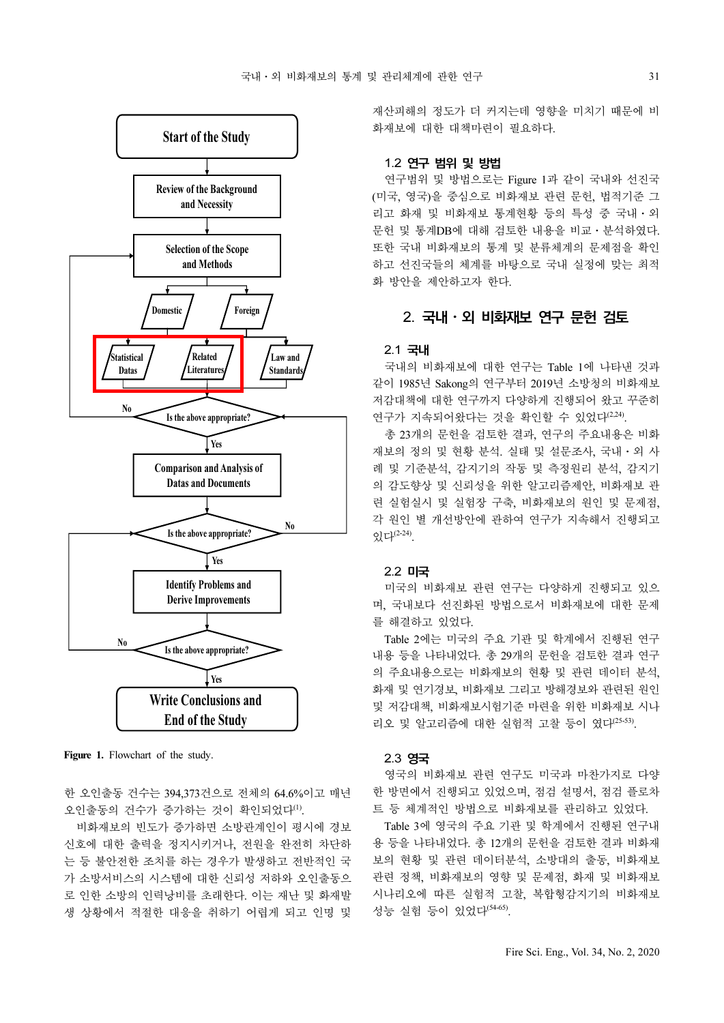

Figure 1. Flowchart of the study.

한 오인출동 건수는 394,373건으로 전체의 64.6%이고 매년 오인출동의 건수가 증가하는 것이 확인되었다(1).

비화재보의 빈도가 증가하면 소방관계인이 평시에 경보 신호에 대한 출력을 정지시키거나, 전원을 완전히 차단하 는 등 불안전한 조치를 하는 경우가 발생하고 전반적인 국 가 소방서비스의 시스템에 대한 신뢰성 저하와 오인출동으 로 인한 소방의 인력낭비를 초래한다. 이는 재난 및 화재발 생 상황에서 적절한 대응을 취하기 어렵게 되고 인명 및

재산피해의 정도가 더 커지는데 영향을 미치기 때문에 비 화재보에 대한 대책마련이 필요하다.

#### 1.2 연구 범위 및 방법

연구범위 및 방법으로는 Figure 1과 같이 국내와 선진국 (미국, 영국)을 중심으로 비화재보 관련 문헌, 법적기준 그 리고 화재 및 비화재보 통계현황 등의 특성 중 국내⋅외 문헌 및 통계DB에 대해 검토한 내용을 비교⋅분석하였다. 또한 국내 비화재보의 통계 및 분류체계의 문제점을 확인 하고 선진국들의 체계를 바탕으로 국내 실정에 맞는 최적 화 방안을 제안하고자 한다.

# 2. 국내⋅외 비화재보 연구 문헌 검토

#### 2.1 국내

국내의 비화재보에 대한 연구는 Table 1에 나타낸 것과 같이 1985년 Sakong의 연구부터 2019년 소방청의 비화재보 저감대책에 대한 연구까지 다양하게 진행되어 왔고 꾸준히 연구가 지속되어왔다는 것을 확인할 수 있었다<sup>(2,24)</sup>.

총 23개의 문헌을 검토한 결과, 연구의 주요내용은 비화 재보의 정의 및 현황 분석. 실태 및 설문조사, 국내⋅외 사 례 및 기준분석, 감지기의 작동 및 측정원리 분석, 감지기 의 감도향상 및 신뢰성을 위한 알고리즘제안, 비화재보 관 련 실험실시 및 실험장 구축, 비화재보의 원인 및 문제점, 각 원인 별 개선방안에 관하여 연구가 지속해서 진행되고  $Q$ <sub> $R$ </sub> $L^{(2-24)}$ .

#### 2.2 미국

미국의 비화재보 관련 연구는 다양하게 진행되고 있으 며, 국내보다 선진화된 방법으로서 비화재보에 대한 문제 를 해결하고 있었다.

Table 2에는 미국의 주요 기관 및 학계에서 진행된 연구 내용 등을 나타내었다. 총 29개의 문헌을 검토한 결과 연구 의 주요내용으로는 비화재보의 현황 및 관련 데이터 분석, 화재 및 연기경보, 비화재보 그리고 방해경보와 관련된 원인 및 저감대책, 비화재보시험기준 마련을 위한 비화재보 시나 리오 및 알고리즘에 대한 실험적 고찰 등이 였다(25-53).

#### 2.3 영국

영국의 비화재보 관련 연구도 미국과 마찬가지로 다양 한 방면에서 진행되고 있었으며, 점검 설명서, 점검 플로차 트 등 체계적인 방법으로 비화재보를 관리하고 있었다.

Table 3에 영국의 주요 기관 및 학계에서 진행된 연구내 용 등을 나타내었다. 총 12개의 문헌을 검토한 결과 비화재 보의 현황 및 관련 데이터분석, 소방대의 출동, 비화재보 관련 정책, 비화재보의 영향 및 문제점, 화재 및 비화재보 시나리오에 따른 실험적 고찰, 복합형감지기의 비화재보 성능 실험 등이 있었다(54-65).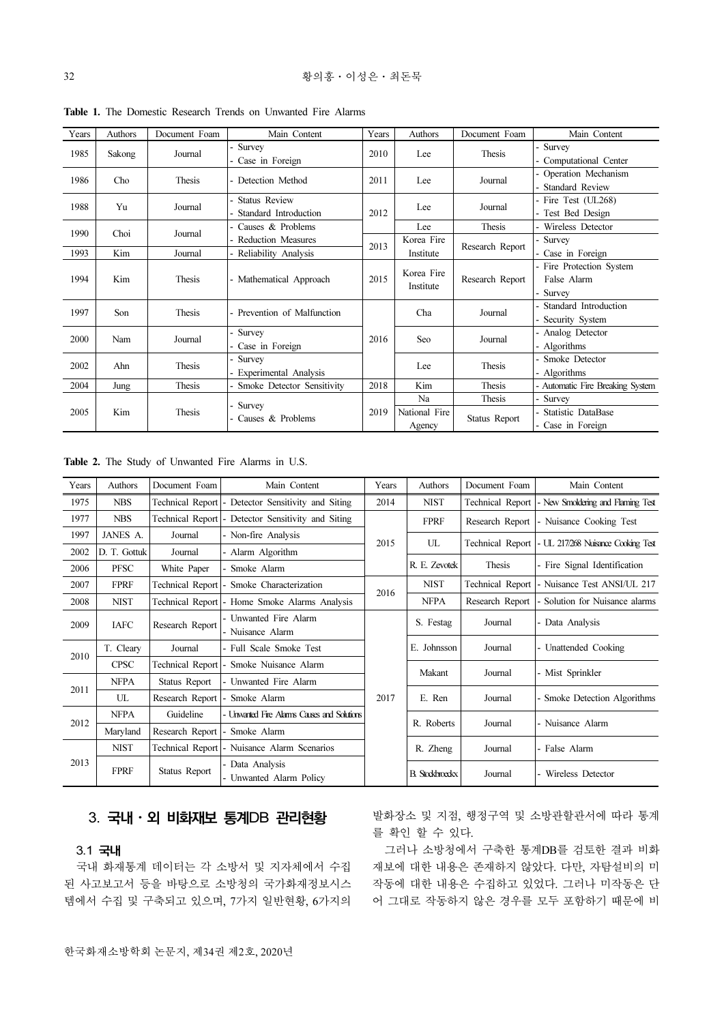| Years          | Authors               | Document Foam | Main Content                    | Years | Authors                 | Document Foam   | Main Content                     |
|----------------|-----------------------|---------------|---------------------------------|-------|-------------------------|-----------------|----------------------------------|
| 1985<br>Sakong |                       | Journal       | - Survey                        | 2010  | Lee                     | Thesis          | Survey                           |
|                |                       |               | - Case in Foreign               |       |                         |                 | Computational Center             |
| 1986           | Cho                   | Thesis        | - Detection Method              | 2011  | Lee                     | Journal         | Operation Mechanism              |
|                |                       |               |                                 |       |                         |                 | <b>Standard Review</b>           |
| 1988           | Yu                    |               | - Status Review                 |       | Lee                     | Journal         | - Fire Test (UL268)              |
|                | Journal               |               | - Standard Introduction         | 2012  |                         |                 | - Test Bed Design                |
| 1990           | Choi                  |               | - Causes & Problems             |       | Lee                     | Thesis          | - Wireless Detector              |
|                |                       |               | Journal<br>- Reduction Measures |       | Korea Fire              | Research Report | Survey                           |
| 1993           | Kim                   | Journal       | - Reliability Analysis          | 2013  | Institute               |                 | - Case in Foreign                |
|                |                       | Thesis        | - Mathematical Approach         | 2015  | Korea Fire<br>Institute |                 | - Fire Protection System         |
| 1994           | Kim                   |               |                                 |       |                         | Research Report | False Alarm                      |
|                |                       |               |                                 |       |                         |                 | Survey                           |
| 1997           | Son                   | Thesis        | - Prevention of Malfunction     |       | Cha                     | Journal         | Standard Introduction            |
|                |                       |               |                                 |       |                         |                 | Security System                  |
| 2000           | Nam                   | Journal       | - Survey                        | 2016  | Seo                     | Journal         | Analog Detector                  |
|                |                       |               | - Case in Foreign               |       |                         |                 | - Algorithms                     |
|                |                       |               | - Survey                        |       | Lee                     | Thesis          | Smoke Detector                   |
|                | 2002<br>Ahn<br>Thesis |               | - Experimental Analysis         |       |                         |                 | Algorithms                       |
| 2004           | Jung                  | Thesis        | - Smoke Detector Sensitivity    | 2018  | Kim                     | Thesis          | - Automatic Fire Breaking System |
|                |                       |               |                                 |       | Na                      | Thesis          | Survey                           |
| 2005           | Kim                   | Thesis        | - Survey<br>- Causes & Problems | 2019  | National Fire           |                 | Statistic DataBase               |
|                |                       |               |                                 |       | Agency                  | Status Report   | Case in Foreign                  |

Table 1. The Domestic Research Trends on Unwanted Fire Alarms

Table 2. The Study of Unwanted Fire Alarms in U.S.

| Years       | Authors      | Document Foam                   | Main Content                                       | Years | Authors                | Document Foam    | Main Content                                          |
|-------------|--------------|---------------------------------|----------------------------------------------------|-------|------------------------|------------------|-------------------------------------------------------|
| 1975        | <b>NBS</b>   |                                 | Technical Report - Detector Sensitivity and Siting | 2014  | <b>NIST</b>            |                  | Technical Report   New Smoldering and Flaming Test    |
| 1977        | <b>NBS</b>   |                                 | Technical Report - Detector Sensitivity and Siting |       | <b>FPRF</b>            | Research Report  | - Nuisance Cooking Test                               |
| 1997        | JANES A.     | Journal                         | - Non-fire Analysis                                | 2015  | UL                     |                  | Technical Report   - UL 217/268 Nuisance Cooking Test |
| 2002        | D. T. Gottuk | Journal                         | - Alarm Algorithm                                  |       |                        |                  |                                                       |
| 2006        | <b>PFSC</b>  | White Paper                     | - Smoke Alarm                                      |       | R. E. Zevotek          | Thesis           | - Fire Signal Identification                          |
| 2007        | <b>FPRF</b>  |                                 | Technical Report - Smoke Characterization          | 2016  | <b>NIST</b>            | Technical Report | - Nuisance Test ANSI/UL 217                           |
| 2008        | <b>NIST</b>  |                                 | Technical Report - Home Smoke Alarms Analysis      |       | <b>NFPA</b>            | Research Report  | - Solution for Nuisance alarms                        |
| 2009        | <b>IAFC</b>  | Research Report                 | - Unwanted Fire Alarm<br>- Nuisance Alarm          |       | S. Festag              | Journal          | - Data Analysis                                       |
| 2010        | T. Cleary    | Journal                         | - Full Scale Smoke Test                            |       | E. Johnsson            | Journal          | - Unattended Cooking                                  |
| <b>CPSC</b> |              |                                 | Technical Report - Smoke Nuisance Alarm            |       | Makant                 | Journal          | - Mist Sprinkler                                      |
|             | <b>NFPA</b>  | Status Report                   | - Unwanted Fire Alarm                              |       |                        |                  |                                                       |
| 2011        | UL           | Research Report   - Smoke Alarm |                                                    | 2017  | E. Ren                 | Journal          | - Smoke Detection Algorithms                          |
|             | <b>NFPA</b>  | Guideline                       | - Unwanted Fire Alarms Causes and Solutions        |       |                        |                  |                                                       |
| 2012        | Maryland     | Research Report   - Smoke Alarm |                                                    |       | R. Roberts             | Journal          | - Nuisance Alarm                                      |
|             | <b>NIST</b>  |                                 | Technical Report   - Nuisance Alarm Scenarios      |       | R. Zheng               | Journal          | - False Alarm                                         |
| 2013        | <b>FPRF</b>  | Status Report                   | - Data Analysis<br>- Unwanted Alarm Policy         |       | <b>B.</b> Stockbroeckx | Journal          | - Wireless Detector                                   |

# 3. 국내⋅외 비화재보 통계DB 관리현황

#### 3.1 국내

국내 화재통계 데이터는 각 소방서 및 지자체에서 수집 된 사고보고서 등을 바탕으로 소방청의 국가화재정보시스 템에서 수집 및 구축되고 있으며, 7가지 일반현황, 6가지의 발화장소 및 지점, 행정구역 및 소방관할관서에 따라 통계 를 확인 할 수 있다.

그러나 소방청에서 구축한 통계DB를 검토한 결과 비화 재보에 대한 내용은 존재하지 않았다. 다만, 자탐설비의 미 작동에 대한 내용은 수집하고 있었다. 그러나 미작동은 단 어 그대로 작동하지 않은 경우를 모두 포함하기 때문에 비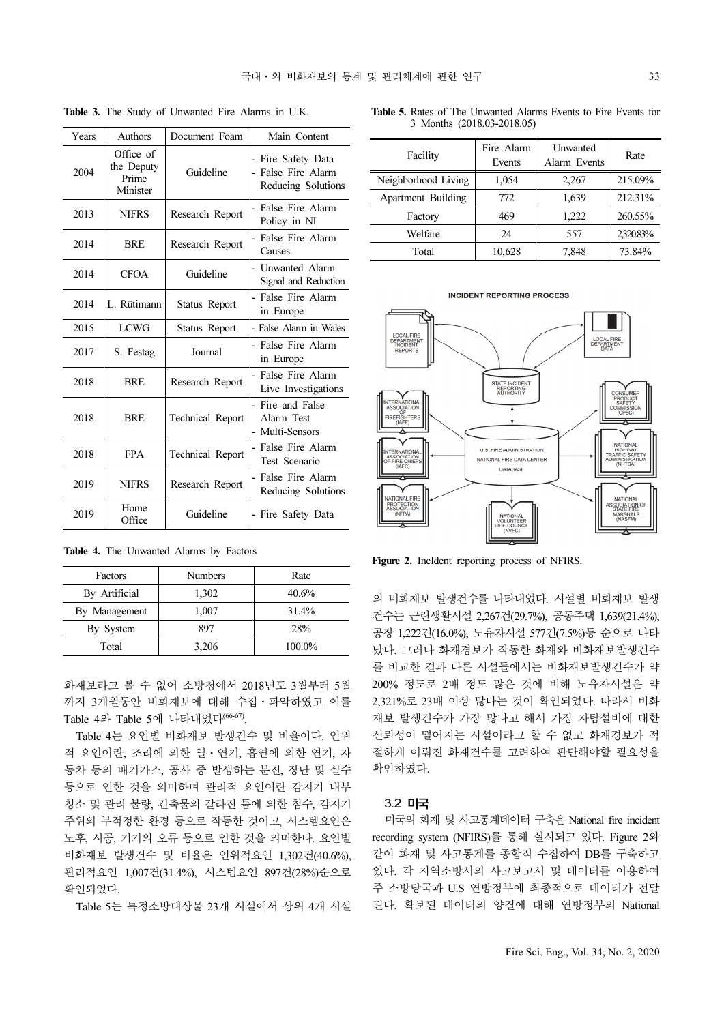| Years | Authors                                      | Document Foam           | Main Content                                                   |
|-------|----------------------------------------------|-------------------------|----------------------------------------------------------------|
| 2004  | Office of<br>the Deputy<br>Prime<br>Minister | Guideline               | - Fire Safety Data<br>- False Fire Alarm<br>Reducing Solutions |
| 2013  | <b>NIFRS</b>                                 | Research Report         | - False Fire Alarm<br>Policy in NI                             |
| 2014  | <b>BRE</b>                                   | Research Report         | - False Fire Alarm<br>Causes                                   |
| 2014  | <b>CFOA</b>                                  | Guideline               | - Unwanted Alarm<br>Signal and Reduction                       |
| 2014  | L. Rütimann                                  | Status Report           | - False Fire Alarm<br>in Europe                                |
| 2015  | <b>LCWG</b>                                  | Status Report           | - False Alarm in Wales                                         |
| 2017  | S. Festag                                    | Journal                 | - False Fire Alarm<br>in Europe                                |
| 2018  | <b>BRE</b>                                   | Research Report         | - False Fire Alarm<br>Live Investigations                      |
| 2018  | <b>BRE</b>                                   | <b>Technical Report</b> | - Fire and False<br>Alarm Test<br>- Multi-Sensors              |
| 2018  | <b>FPA</b>                                   | <b>Technical Report</b> | - False Fire Alarm<br>Test Scenario                            |
| 2019  | <b>NIFRS</b>                                 | Research Report         | - False Fire Alarm<br>Reducing Solutions                       |
| 2019  | Home<br>Office                               | Guideline               | - Fire Safety Data                                             |

Table 3. The Study of Unwanted Fire Alarms in U.K.

Table 5. Rates of The Unwanted Alarms Events to Fire Events for 3 Months (2018.03-2018.05)

| Facility            | Fire Alarm<br>Events | <b>Unwanted</b><br>Alarm Events | Rate     |
|---------------------|----------------------|---------------------------------|----------|
| Neighborhood Living | 1,054                | 2,267                           | 215.09%  |
| Apartment Building  | 772                  | 1,639                           | 212.31%  |
| Factory             | 469                  | 1,222                           | 260.55%  |
| Welfare             | 24                   | 557                             | 2320.83% |
| Total               | 10,628               | 7,848                           | 73.84%   |

#### **INCIDENT REPORTING PROCESS**



Figure 2. Incldent reporting process of NFIRS.

의 비화재보 발생건수를 나타내었다. 시설별 비화재보 발생 건수는 근린생활시설 2,267건(29.7%), 공동주택 1,639(21.4%), 공장 1,222건(16.0%), 노유자시설 577건(7.5%)등 순으로 나타 났다. 그러나 화재경보가 작동한 화재와 비화재보발생건수 를 비교한 결과 다른 시설들에서는 비화재보발생건수가 약 200% 정도로 2배 정도 많은 것에 비해 노유자시설은 약 2,321%로 23배 이상 많다는 것이 확인되었다. 따라서 비화 재보 발생건수가 가장 많다고 해서 가장 자탐설비에 대한 신뢰성이 떨어지는 시설이라고 할 수 없고 화재경보가 적 절하게 이뤄진 화재건수를 고려하여 판단해야할 필요성을 확인하였다.

#### 3.2 미국

미국의 화재 및 사고통계데이터 구축은 National fire incident recording system (NFIRS)를 통해 실시되고 있다. Figure 2와 같이 화재 및 사고통계를 종합적 수집하여 DB를 구축하고 있다. 각 지역소방서의 사고보고서 및 데이터를 이용하여 주 소방당국과 U.S 연방정부에 최종적으로 데이터가 전달 된다. 확보된 데이터의 양질에 대해 연방정부의 National

Table 4. The Unwanted Alarms by Factors

| Factors       | <b>Numbers</b> | Rate   |
|---------------|----------------|--------|
| By Artificial | 1,302          | 40.6%  |
| By Management | 1,007          | 31.4%  |
| By System     | 897            | 28%    |
| Total         | 3,206          | 100.0% |

화재보라고 볼 수 없어 소방청에서 2018년도 3월부터 5월 까지 3개월동안 비화재보에 대해 수집⋅파악하였고 이를 Table 4와 Table 5에 나타내었다(66-67).

Table 4는 요인별 비화재보 발생건수 및 비율이다. 인위 적 요인이란, 조리에 의한 열⋅연기, 흡연에 의한 연기, 자 동차 등의 배기가스, 공사 중 발생하는 분진, 장난 및 실수 등으로 인한 것을 의미하며 관리적 요인이란 감지기 내부 청소 및 관리 불량, 건축물의 갈라진 틈에 의한 침수, 감지기 주위의 부적정한 환경 등으로 작동한 것이고, 시스템요인은 노후, 시공, 기기의 오류 등으로 인한 것을 의미한다. 요인별 비화재보 발생건수 및 비율은 인위적요인 1,302건(40.6%), 관리적요인 1,007건(31.4%), 시스템요인 897건(28%)순으로 확인되었다.

Table 5는 특정소방대상물 23개 시설에서 상위 4개 시설

33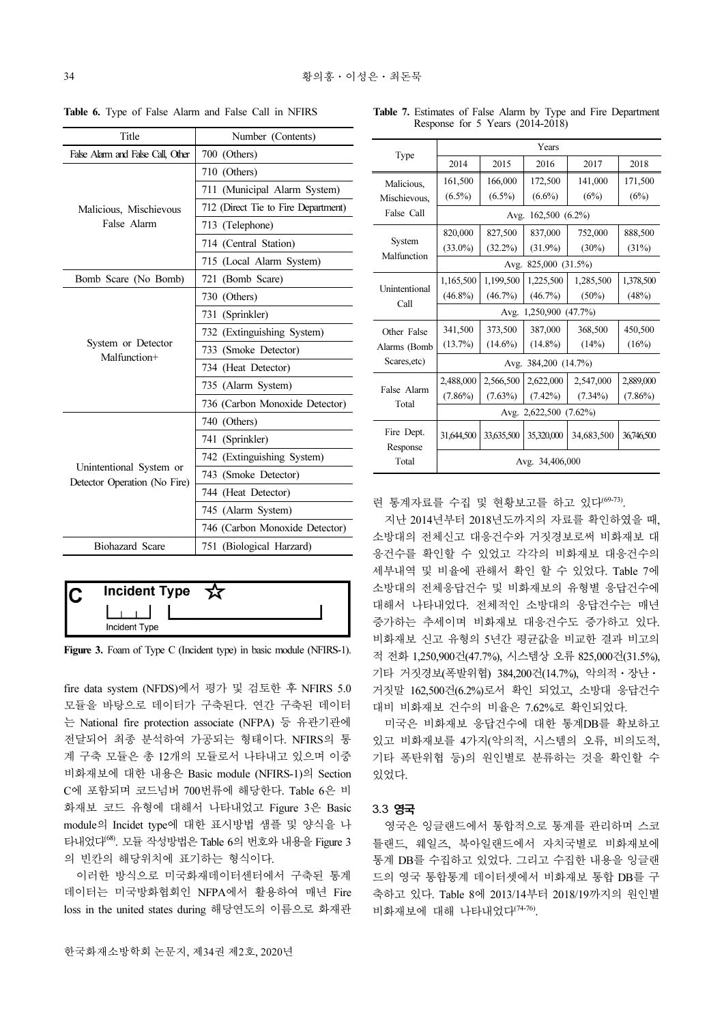| Title                                                   | Number (Contents)                   |  |  |  |
|---------------------------------------------------------|-------------------------------------|--|--|--|
| False Alarm and False Call. Other                       | 700 (Others)                        |  |  |  |
|                                                         | 710 (Others)                        |  |  |  |
|                                                         | 711 (Municipal Alarm System)        |  |  |  |
| Malicious, Mischievous                                  | 712 (Direct Tie to Fire Department) |  |  |  |
| False Alarm                                             | 713 (Telephone)                     |  |  |  |
|                                                         | 714 (Central Station)               |  |  |  |
|                                                         | 715 (Local Alarm System)            |  |  |  |
| Bomb Scare (No Bomb)                                    | 721 (Bomb Scare)                    |  |  |  |
|                                                         | 730 (Others)                        |  |  |  |
|                                                         | 731 (Sprinkler)                     |  |  |  |
|                                                         | 732 (Extinguishing System)          |  |  |  |
| System or Detector<br>Malfunction+                      | 733 (Smoke Detector)                |  |  |  |
|                                                         | 734 (Heat Detector)                 |  |  |  |
|                                                         | 735 (Alarm System)                  |  |  |  |
|                                                         | 736 (Carbon Monoxide Detector)      |  |  |  |
|                                                         | 740 (Others)                        |  |  |  |
|                                                         | 741 (Sprinkler)                     |  |  |  |
|                                                         | 742 (Extinguishing System)          |  |  |  |
| Unintentional System or<br>Detector Operation (No Fire) | 743 (Smoke Detector)                |  |  |  |
|                                                         | 744 (Heat Detector)                 |  |  |  |
|                                                         | 745 (Alarm System)                  |  |  |  |
|                                                         | 746 (Carbon Monoxide Detector)      |  |  |  |
| Biohazard Scare                                         | 751 (Biological Harzard)            |  |  |  |

Table 6. Type of False Alarm and False Call in NFIRS

| <b>Incident Type</b> |  |
|----------------------|--|
|                      |  |
| Incident Type        |  |

Figure 3. Foam of Type C (Incident type) in basic module (NFIRS-1).

fire data system (NFDS)에서 평가 및 검토한 후 NFIRS 5.0 모듈을 바탕으로 데이터가 구축된다. 연간 구축된 데이터 는 National fire protection associate (NFPA) 등 유관기관에 전달되어 최종 분석하여 가공되는 형태이다. NFIRS의 통 계 구축 모듈은 총 12개의 모듈로서 나타내고 있으며 이중 비화재보에 대한 내용은 Basic module (NFIRS-1)의 Section C에 포함되며 코드넘버 700번류에 해당한다. Table 6은 비 화재보 코드 유형에 대해서 나타내었고 Figure 3은 Basic module의 Incidet type에 대한 표시방법 샘플 및 양식을 나 타내었다(68). 모듈 작성방법은 Table 6의 번호와 내용을 Figure 3 의 빈칸의 해당위치에 표기하는 형식이다.

이러한 방식으로 미국화재데이터센터에서 구축된 통계 데이터는 미국방화협회인 NFPA에서 활용하여 매년 Fire loss in the united states during 해당연도의 이름으로 화재관

|  | <b>Table 7.</b> Estimates of False Alarm by Type and Fire Department |  |  |  |  |  |
|--|----------------------------------------------------------------------|--|--|--|--|--|
|  | Response for $5$ Years $(2014-2018)$                                 |  |  |  |  |  |

|                        | Years                        |            |            |            |            |  |  |  |
|------------------------|------------------------------|------------|------------|------------|------------|--|--|--|
| Type                   | 2014                         | 2015       | 2016       | 2017       | 2018       |  |  |  |
| Malicious,             | 166,000<br>161,500           |            | 172,500    | 141,000    | 171,500    |  |  |  |
| Mischievous,           | $(6.5\%)$                    | $(6.5\%)$  | $(6.6\%)$  | (6%)       | (6%)       |  |  |  |
| False Call             | $162,500(6.2\%)$<br>Avg.     |            |            |            |            |  |  |  |
|                        | 820,000                      | 827,500    | 837,000    | 752,000    | 888,500    |  |  |  |
| System<br>Malfunction  | $(33.0\%)$                   | $(32.2\%)$ | $(31.9\%)$ | $(30\%)$   | (31%)      |  |  |  |
|                        | 825,000 (31.5%)<br>Avg.      |            |            |            |            |  |  |  |
|                        | 1,165,500                    | 1,199,500  | 1,225,500  | 1,285,500  | 1,378,500  |  |  |  |
| Unintentional<br>Call  | $(46.8\%)$                   | $(46.7\%)$ | $(46.7\%)$ | $(50\%)$   | (48%)      |  |  |  |
|                        | 1,250,900 (47.7%)<br>Avg.    |            |            |            |            |  |  |  |
| Other False            | 341,500                      | 373,500    | 387,000    | 368,500    | 450,500    |  |  |  |
| Alarms (Bomb           | $(13.7\%)$                   | $(14.6\%)$ | $(14.8\%)$ | (14%)      | (16%)      |  |  |  |
| Scares, etc)           | Avg. 384,200 (14.7%)         |            |            |            |            |  |  |  |
|                        | 2,488,000                    | 2,566,500  | 2,622,000  | 2,547,000  | 2,889,000  |  |  |  |
| False Alarm<br>Total   | $(7.86\%)$                   | $(7.63\%)$ | $(7.42\%)$ | $(7.34\%)$ | $(7.86\%)$ |  |  |  |
|                        | Avg. 2,622,500<br>$(7.62\%)$ |            |            |            |            |  |  |  |
| Fire Dept.<br>Response | 31.644.500                   | 33,635,500 | 35,320,000 | 34,683,500 | 36,746,500 |  |  |  |
| Total                  | Avg. 34,406,000              |            |            |            |            |  |  |  |

련 통계자료를 수집 및 현황보고를 하고 있다<sup>(69-73)</sup>.

지난 2014년부터 2018년도까지의 자료를 확인하였을 때, 소방대의 전체신고 대응건수와 거짓경보로써 비화재보 대 응건수를 확인할 수 있었고 각각의 비화재보 대응건수의 세부내역 및 비율에 관해서 확인 할 수 있었다. Table 7에 소방대의 전체응답건수 및 비화재보의 유형별 응답건수에 대해서 나타내었다. 전체적인 소방대의 응답건수는 매년 증가하는 추세이며 비화재보 대응건수도 증가하고 있다. 비화재보 신고 유형의 5년간 평균값을 비교한 결과 비고의 적 전화 1,250,900건(47.7%), 시스템상 오류 825,000건(31.5%), 기타 거짓경보(폭발위협) 384,200건(14.7%), 악의적⋅장난⋅ 거짓말 162,500건(6.2%)로서 확인 되었고, 소방대 응답건수 대비 비화재보 건수의 비율은 7.62%로 확인되었다.

미국은 비화재보 응답건수에 대한 통계DB를 확보하고 있고 비화재보를 4가지(악의적, 시스템의 오류, 비의도적, 기타 폭탄위협 등)의 원인별로 분류하는 것을 확인할 수 있었다.

#### 3.3 영국

영국은 잉글랜드에서 통합적으로 통계를 관리하며 스코 틀랜드, 웨일즈, 북아일랜드에서 자치국별로 비화재보에 통계 DB를 수집하고 있었다. 그리고 수집한 내용을 잉글랜 드의 영국 통합통계 데이터셋에서 비화재보 통합 DB를 구 축하고 있다. Table 8에 2013/14부터 2018/19까지의 원인별 비화재보에 대해 나타내었다(74-76).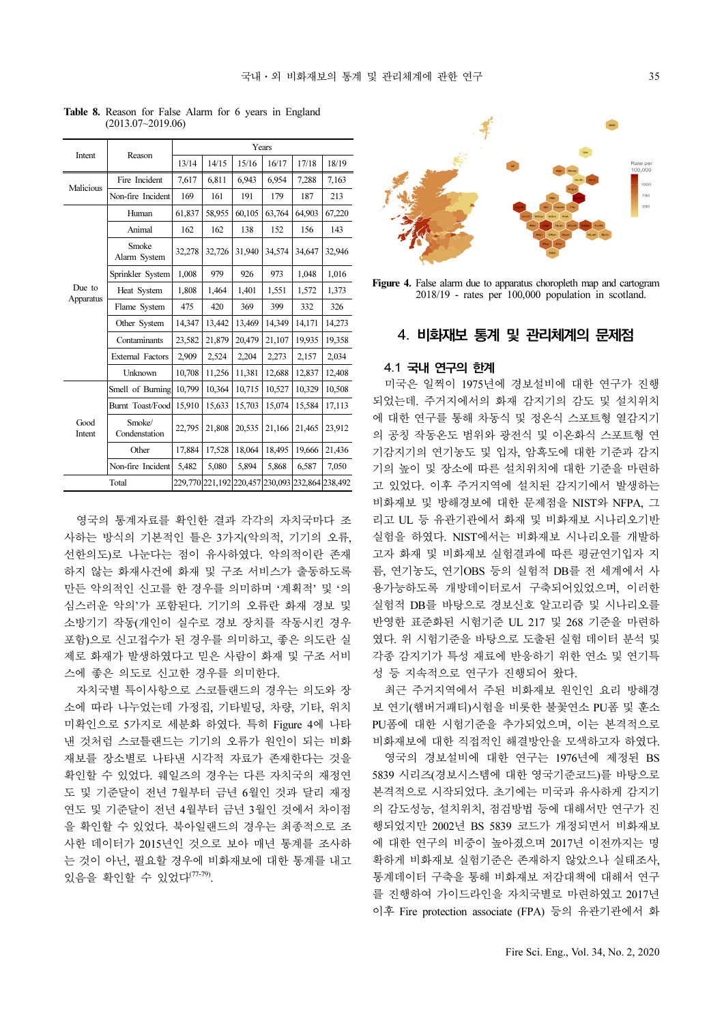| Intent         |                         | Years  |        |                                                 |        |        |        |  |  |  |
|----------------|-------------------------|--------|--------|-------------------------------------------------|--------|--------|--------|--|--|--|
|                | Reason                  | 13/14  | 14/15  | 15/16                                           | 16/17  | 17/18  | 18/19  |  |  |  |
|                | Fire Incident           | 7,617  | 6,811  | 6,943                                           | 6,954  | 7,288  | 7,163  |  |  |  |
| Malicious      | Non-fire Incident       | 169    | 161    | 191                                             | 179    | 187    | 213    |  |  |  |
|                | Human                   | 61,837 | 58,955 | 60,105                                          | 63,764 | 64,903 | 67,220 |  |  |  |
|                | Animal                  | 162    | 162    | 138                                             | 152    | 156    | 143    |  |  |  |
|                | Smoke<br>Alarm System   | 32,278 | 32,726 | 31,940                                          | 34,574 | 34,647 | 32,946 |  |  |  |
|                | Sprinkler System        | 1,008  | 979    | 926                                             | 973    | 1,048  | 1,016  |  |  |  |
| Due to         | Heat System             | 1,808  | 1,464  | 1,401                                           | 1,551  | 1,572  | 1,373  |  |  |  |
| Apparatus      | Flame System            | 475    | 420    | 369                                             | 399    | 332    | 326    |  |  |  |
|                | Other System            | 14,347 | 13,442 | 13,469                                          | 14,349 | 14,171 | 14,273 |  |  |  |
|                | Contaminants            | 23,582 | 21,879 | 20,479                                          | 21,107 | 19,935 | 19,358 |  |  |  |
|                | <b>External Factors</b> | 2,909  | 2,524  | 2,204                                           | 2,273  | 2,157  | 2,034  |  |  |  |
|                | Unknown                 | 10,708 | 11,256 | 11,381                                          | 12,688 | 12,837 | 12,408 |  |  |  |
|                | Smell of Burning        | 10,799 | 10,364 | 10,715                                          | 10,527 | 10,329 | 10,508 |  |  |  |
|                | Burnt Toast/Food        | 15,910 | 15,633 | 15,703                                          | 15,074 | 15,584 | 17,113 |  |  |  |
| Good<br>Intent | Smoke/<br>Condenstation | 22,795 | 21,808 | 20,535                                          | 21,166 | 21,465 | 23,912 |  |  |  |
|                | Other                   | 17,884 | 17,528 | 18,064                                          | 18,495 | 19,666 | 21,436 |  |  |  |
|                | Non-fire Incident       | 5,482  | 5,080  | 5,894                                           | 5,868  | 6,587  | 7,050  |  |  |  |
|                | Total                   |        |        | 229,770 221,192 220,457 230,093 232,864 238,492 |        |        |        |  |  |  |

Table 8. Reason for False Alarm for 6 years in England (2013.07~2019.06)

영국의 통계자료를 확인한 결과 각각의 자치국마다 조 사하는 방식의 기본적인 틀은 3가지(악의적, 기기의 오류, 선한의도)로 나눈다는 점이 유사하였다. 악의적이란 존재 하지 않는 화재사건에 화재 및 구조 서비스가 출동하도록 만든 악의적인 신고를 한 경우를 의미하며 '계획적' 및 '의 심스러운 악의'가 포함된다. 기기의 오류란 화재 경보 및 소방기기 작동(개인이 실수로 경보 장치를 작동시킨 경우 포함)으로 신고접수가 된 경우를 의미하고, 좋은 의도란 실 제로 화재가 발생하였다고 믿은 사람이 화재 및 구조 서비 스에 좋은 의도로 신고한 경우를 의미한다.

자치국별 특이사항으로 스코틀랜드의 경우는 의도와 장 소에 따라 나누었는데 가정집, 기타빌딩, 차량, 기타, 위치 미확인으로 5가지로 세분화 하였다. 특히 Figure 4에 나타 낸 것처럼 스코틀랜드는 기기의 오류가 원인이 되는 비화 재보를 장소별로 나타낸 시각적 자료가 존재한다는 것을 확인할 수 있었다. 웨일즈의 경우는 다른 자치국의 재정연 도 및 기준달이 전년 7월부터 금년 6월인 것과 달리 재정 연도 및 기준달이 전년 4월부터 금년 3월인 것에서 차이점 을 확인할 수 있었다. 북아일랜드의 경우는 최종적으로 조 사한 데이터가 2015년인 것으로 보아 매년 통계를 조사하 는 것이 아닌, 필요할 경우에 비화재보에 대한 통계를 내고 있음을 확인할 수 있었다(77-79).



Figure 4. False alarm due to apparatus choropleth map and cartogram 2018/19 - rates per 100,000 population in scotland.

#### 4. 비화재보 통계 및 관리체계의 문제점

#### 4.1 국내 연구의 한계

미국은 일찍이 1975년에 경보설비에 대한 연구가 진행 되었는데. 주거지에서의 화재 감지기의 감도 및 설치위치 에 대한 연구를 통해 차동식 및 정온식 스포트형 열감지기 의 공칭 작동온도 범위와 광전식 및 이온화식 스포트형 연 기감지기의 연기농도 및 입자, 암흑도에 대한 기준과 감지 기의 높이 및 장소에 따른 설치위치에 대한 기준을 마련하 고 있었다. 이후 주거지역에 설치된 감지기에서 발생하는 비화재보 및 방해경보에 대한 문제점을 NIST와 NFPA, 그 리고 UL 등 유관기관에서 화재 및 비화재보 시나리오기반 실험을 하였다. NIST에서는 비화재보 시나리오를 개발하 고자 화재 및 비화재보 실험결과에 따른 평균연기입자 지 름, 연기농도, 연기OBS 등의 실험적 DB를 전 세계에서 사 용가능하도록 개방데이터로서 구축되어있었으며, 이러한 실험적 DB를 바탕으로 경보신호 알고리즘 및 시나리오를 반영한 표준화된 시험기준 UL 217 및 268 기준을 마련하 였다. 위 시험기준을 바탕으로 도출된 실험 데이터 분석 및 각종 감지기가 특성 재료에 반응하기 위한 연소 및 연기특 성 등 지속적으로 연구가 진행되어 왔다.

최근 주거지역에서 주된 비화재보 원인인 요리 방해경 보 연기(햄버거패티)시험을 비롯한 불꽃연소 PU폼 및 훈소 PU폼에 대한 시험기준을 추가되었으며, 이는 본격적으로 비화재보에 대한 직접적인 해결방안을 모색하고자 하였다. 영국의 경보설비에 대한 연구는 1976년에 제정된 BS

5839 시리즈(경보시스템에 대한 영국기준코드)를 바탕으로 본격적으로 시작되었다. 초기에는 미국과 유사하게 감지기 의 감도성능, 설치위치, 점검방법 등에 대해서만 연구가 진 행되었지만 2002년 BS 5839 코드가 개정되면서 비화재보 에 대한 연구의 비중이 높아졌으며 2017년 이전까지는 명 확하게 비화재보 실험기준은 존재하지 않았으나 실태조사, 통계데이터 구축을 통해 비화재보 저감대책에 대해서 연구 를 진행하여 가이드라인을 자치국별로 마련하였고 2017년 이후 Fire protection associate (FPA) 등의 유관기관에서 화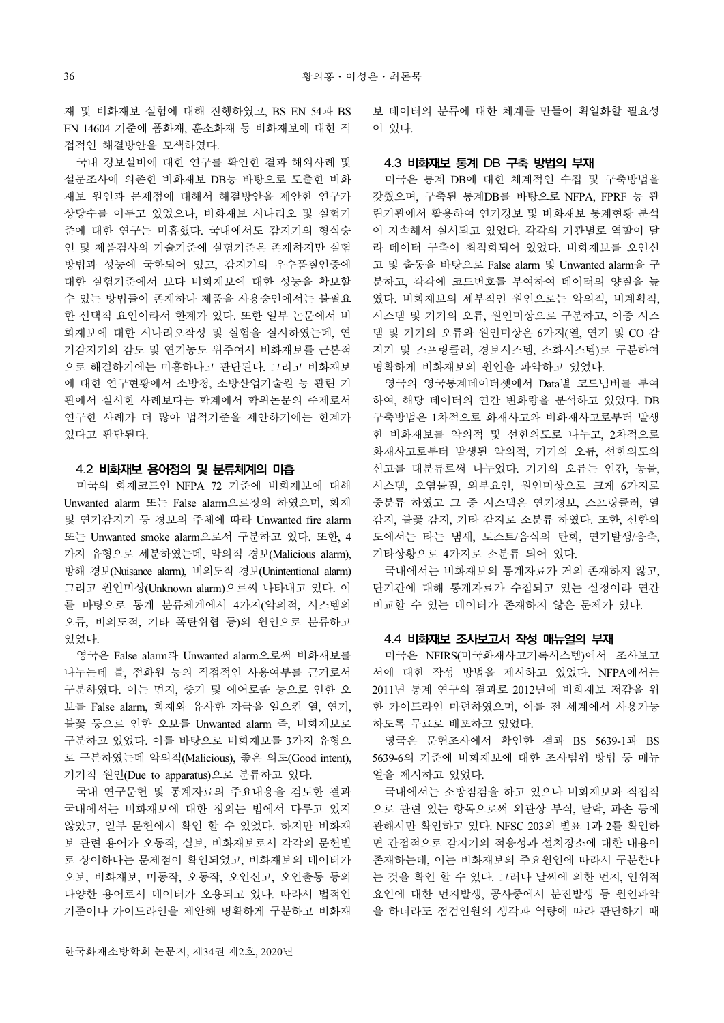재 및 비화재보 실험에 대해 진행하였고, BS EN 54과 BS EN 14604 기준에 폼화재, 훈소화재 등 비화재보에 대한 직 접적인 해결방안을 모색하였다.

국내 경보설비에 대한 연구를 확인한 결과 해외사례 및 설문조사에 의존한 비화재보 DB등 바탕으로 도출한 비화 재보 원인과 문제점에 대해서 해결방안을 제안한 연구가 상당수를 이루고 있었으나, 비화재보 시나리오 및 실험기 준에 대한 연구는 미흡했다. 국내에서도 감지기의 형식승 인 및 제품검사의 기술기준에 실험기준은 존재하지만 실험 방법과 성능에 국한되어 있고, 감지기의 우수품질인증에 대한 실험기준에서 보다 비화재보에 대한 성능을 확보할 수 있는 방법들이 존재하나 제품을 사용승인에서는 불필요 한 선택적 요인이라서 한계가 있다. 또한 일부 논문에서 비 화재보에 대한 시나리오작성 및 실험을 실시하였는데, 연 기감지기의 감도 및 연기농도 위주여서 비화재보를 근본적 으로 해결하기에는 미흡하다고 판단된다. 그리고 비화재보 에 대한 연구현황에서 소방청, 소방산업기술원 등 관련 기 관에서 실시한 사례보다는 학계에서 학위논문의 주제로서 연구한 사례가 더 많아 법적기준을 제안하기에는 한계가 있다고 판단된다.

### 4.2 비화재보 용어정의 및 분류체계의 미흡

미국의 화재코드인 NFPA 72 기준에 비화재보에 대해 Unwanted alarm 또는 False alarm으로정의 하였으며, 화재 및 연기감지기 등 경보의 주체에 따라 Unwanted fire alarm 또는 Unwanted smoke alarm으로서 구분하고 있다. 또한, 4 가지 유형으로 세분하였는데, 악의적 경보(Malicious alarm), 방해 경보(Nuisance alarm), 비의도적 경보(Unintentional alarm) 그리고 원인미상(Unknown alarm)으로써 나타내고 있다. 이 를 바탕으로 통계 분류체계에서 4가지(악의적, 시스템의 오류, 비의도적, 기타 폭탄위협 등)의 원인으로 분류하고 있었다.

영국은 False alarm과 Unwanted alarm으로써 비화재보를 나누는데 불, 점화원 등의 직접적인 사용여부를 근거로서 구분하였다. 이는 먼지, 증기 및 에어로졸 등으로 인한 오 보를 False alarm, 화재와 유사한 자극을 일으킨 열, 연기, 불꽃 등으로 인한 오보를 Unwanted alarm 즉, 비화재보로 구분하고 있었다. 이를 바탕으로 비화재보를 3가지 유형으 로 구분하였는데 악의적(Malicious), 좋은 의도(Good intent), 기기적 원인(Due to apparatus)으로 분류하고 있다.

국내 연구문헌 및 통계자료의 주요내용을 검토한 결과 국내에서는 비화재보에 대한 정의는 법에서 다루고 있지 않았고, 일부 문헌에서 확인 할 수 있었다. 하지만 비화재 보 관련 용어가 오동작, 실보, 비화재보로서 각각의 문헌별 로 상이하다는 문제점이 확인되었고, 비화재보의 데이터가 오보, 비화재보, 미동작, 오동작, 오인신고, 오인출동 등의 다양한 용어로서 데이터가 오용되고 있다. 따라서 법적인 기준이나 가이드라인을 제안해 명확하게 구분하고 비화재 보 데이터의 분류에 대한 체계를 만들어 획일화할 필요성 이 있다.

#### 4.3 비화재보 통계 DB 구축 방법의 부재

미국은 통계 DB에 대한 체계적인 수집 및 구축방법을 갖췄으며, 구축된 통계DB를 바탕으로 NFPA, FPRF 등 관 련기관에서 활용하여 연기경보 및 비화재보 통계현황 분석 이 지속해서 실시되고 있었다. 각각의 기관별로 역할이 달 라 데이터 구축이 최적화되어 있었다. 비화재보를 오인신 고 및 출동을 바탕으로 False alarm 및 Unwanted alarm을 구 분하고, 각각에 코드번호를 부여하여 데이터의 양질을 높 였다. 비화재보의 세부적인 원인으로는 악의적, 비계획적, 시스템 및 기기의 오류, 원인미상으로 구분하고, 이중 시스 템 및 기기의 오류와 원인미상은 6가지(열, 연기 및 CO 감 지기 및 스프링클러, 경보시스템, 소화시스템)로 구분하여 명확하게 비화재보의 원인을 파악하고 있었다.

영국의 영국통계데이터셋에서 Data별 코드넘버를 부여 하여, 해당 데이터의 연간 변화량을 분석하고 있었다. DB 구축방법은 1차적으로 화재사고와 비화재사고로부터 발생 한 비화재보를 악의적 및 선한의도로 나누고, 2차적으로 화재사고로부터 발생된 악의적, 기기의 오류, 선한의도의 신고를 대분류로써 나누었다. 기기의 오류는 인간, 동물, 시스템, 오염물질, 외부요인, 원인미상으로 크게 6가지로 중분류 하였고 그 중 시스템은 연기경보, 스프링클러, 열 감지, 불꽃 감지, 기타 감지로 소분류 하였다. 또한, 선한의 도에서는 타는 냄새, 토스트/음식의 탄화, 연기발생/응축, 기타상황으로 4가지로 소분류 되어 있다.

국내에서는 비화재보의 통계자료가 거의 존재하지 않고, 단기간에 대해 통계자료가 수집되고 있는 실정이라 연간 비교할 수 있는 데이터가 존재하지 않은 문제가 있다.

#### 4.4 비화재보 조사보고서 작성 매뉴얼의 부재

미국은 NFIRS(미국화재사고기록시스템)에서 조사보고 서에 대한 작성 방법을 제시하고 있었다. NFPA에서는 2011년 통계 연구의 결과로 2012년에 비화재보 저감을 위 한 가이드라인 마련하였으며, 이를 전 세계에서 사용가능 하도록 무료로 배포하고 있었다.

영국은 문헌조사에서 확인한 결과 BS 5639-1과 BS 5639-6의 기준에 비화재보에 대한 조사범위 방법 등 매뉴 얼을 제시하고 있었다.

국내에서는 소방점검을 하고 있으나 비화재보와 직접적 으로 관련 있는 항목으로써 외관상 부식, 탈락, 파손 등에 관해서만 확인하고 있다. NFSC 203의 별표 1과 2를 확인하 면 간접적으로 감지기의 적응성과 설치장소에 대한 내용이 존재하는데, 이는 비화재보의 주요원인에 따라서 구분한다 는 것을 확인 할 수 있다. 그러나 날씨에 의한 먼지, 인위적 요인에 대한 먼지발생, 공사중에서 분진발생 등 원인파악 을 하더라도 점검인원의 생각과 역량에 따라 판단하기 때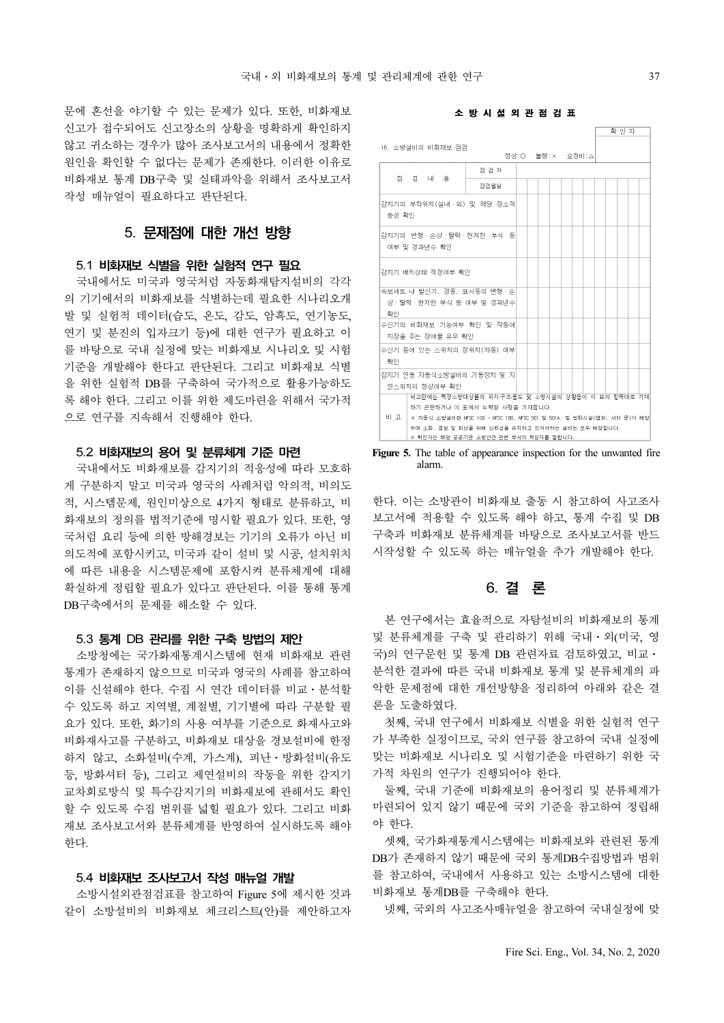문에 혼선을 야기할 수 있는 문제가 있다. 또한, 비화재보 신고가 접수되어도 신고장소의 상황을 명확하게 확인하지 않고 귀소하는 경우가 많아 조사보고서의 내용에서 정확한 원인을 확인할 수 없다는 문제가 존재한다. 이러한 이유로 비화재보 통계 DB구축 및 실태파악을 위해서 조사보고서 작성 매뉴얼이 필요하다고 판단된다.

# 5. 문제점에 대한 개선 방향

#### 5.1 비화재보 식별을 위한 실험적 연구 필요

국내에서도 미국과 영국처럼 자동화재탐지설비의 각각 의 기기에서의 비화재보를 식별하는데 필요한 시나리오개 발 및 실험적 데이터(습도, 온도, 감도, 암흑도, 연기농도, 연기 및 분진의 입자크기 등)에 대한 연구가 필요하고 이 를 바탕으로 국내 실정에 맞는 비화재보 시나리오 및 시험 기준을 개발해야 한다고 판단된다. 그리고 비화재보 식별 을 위한 실험적 DB를 구축하여 국가적으로 활용가능하도 록 해야 한다. 그리고 이를 위한 제도마련을 위해서 국가적 으로 연구를 지속해서 진행해야 한다.

#### 5.2 비화재보의 용어 및 분류체계 기준 마련

국내에서도 비화재보를 감지기의 적응성에 따라 모호하 게 구분하지 말고 미국과 영국의 사례처럼 악의적, 비의도 적, 시스템문제, 원인미상으로 4가지 형태로 분류하고, 비 화재보의 정의를 법적기준에 명시할 필요가 있다. 또한, 영 국처럼 요리 등에 의한 방해경보는 기기의 오류가 아닌 비 의도적에 포함시키고, 미국과 같이 설비 및 시공, 설치위치 에 따른 내용을 시스템문제에 포함시켜 분류체계에 대해 확실하게 정립할 필요가 있다고 판단된다. 이를 통해 통계 DB구축에서의 문제를 해소할 수 있다.

#### 5.3 통계 DB 관리를 위한 구축 방법의 제안

소방청에는 국가화재통계시스템에 현재 비화재보 관련 통계가 존재하지 않으므로 미국과 영국의 사례를 참고하여 이를 신설해야 한다. 수집 시 연간 데이터를 비교⋅분석할 수 있도록 하고 지역별, 계절별, 기기별에 따라 구분할 필 요가 있다. 또한, 화기의 사용 여부를 기준으로 화재사고와 비화재사고를 구분하고, 비화재보 대상을 경보설비에 한정 하지 않고, 소화설비(수계, 가스계), 피난⋅방화설비(유도 등, 방화셔터 등), 그리고 제연설비의 작동을 위한 감지기 교차회로방식 및 특수감지기의 비화재보에 관해서도 확인 할 수 있도록 수집 범위를 넓힐 필요가 있다. 그리고 비화 재보 조사보고서와 분류체계를 반영하여 실시하도록 해야 한다.

#### 5.4 비화재보 조사보고서 작성 매뉴얼 개발

소방시설외관점검표를 참고하여 Figure 5에 제시한 것과 같이 소방설비의 비화재보 체크리스트(안)를 제안하고자





Figure 5. The table of appearance inspection for the unwanted fire alarm.

한다. 이는 소방관이 비화재보 출동 시 참고하여 사고조사 보고서에 적용할 수 있도록 해야 하고, 통계 수집 및 DB 구축과 비화재보 분류체계를 바탕으로 조사보고서를 반드 시작성할 수 있도록 하는 매뉴얼을 추가 개발해야 한다.

# 6. 결 론

본 연구에서는 효율적으로 자탐설비의 비화재보의 통계 및 분류체계를 구축 및 관리하기 위해 국내⋅외(미국, 영 국)의 연구문헌 및 통계 DB 관련자료 검토하였고, 비교 · 분석한 결과에 따른 국내 비화재보 통계 및 분류체계의 파 악한 문제점에 대한 개선방향을 정리하여 아래와 같은 결 론을 도출하였다.

첫째, 국내 연구에서 비화재보 식별을 위한 실험적 연구 가 부족한 실정이므로, 국외 연구를 참고하여 국내 실정에 맞는 비화재보 시나리오 및 시험기준을 마련하기 위한 국 가적 차원의 연구가 진행되어야 한다.

둘째, 국내 기준에 비화재보의 용어정리 및 분류체계가 마련되어 있지 않기 때문에 국외 기준을 참고하여 정립해 야 한다.

셋째, 국가화재통계시스템에는 비화재보와 관련된 통계 DB가 존재하지 않기 때문에 국외 통계DB수집방법과 범위 를 참고하여, 국내에서 사용하고 있는 소방시스템에 대한 비화재보 통계DB를 구축해야 한다.

넷째, 국외의 사고조사매뉴얼을 참고하여 국내실정에 맞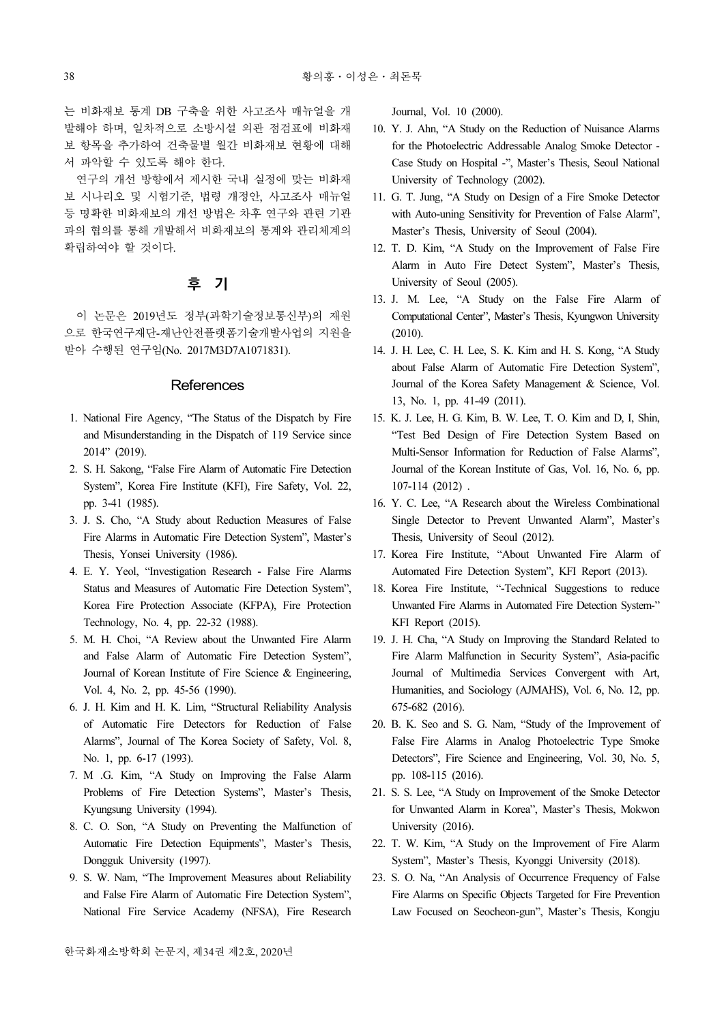는 비화재보 통계 DB 구축을 위한 사고조사 매뉴얼을 개 발해야 하며, 일차적으로 소방시설 외관 점검표에 비화재 보 항목을 추가하여 건축물별 월간 비화재보 현황에 대해 서 파악할 수 있도록 해야 한다.

연구의 개선 방향에서 제시한 국내 실정에 맞는 비화재 보 시나리오 및 시험기준, 법령 개정안, 사고조사 매뉴얼 등 명확한 비화재보의 개선 방법은 차후 연구와 관련 기관 과의 협의를 통해 개발해서 비화재보의 통계와 관리체계의 확립하여야 할 것이다.

# 후 기

이 논문은 2019년도 정부(과학기술정보통신부)의 재원 으로 한국연구재단-재난안전플랫폼기술개발사업의 지원을 받아 수행된 연구임(No. 2017M3D7A1071831).

#### **References**

- 1. National Fire Agency, "The Status of the Dispatch by Fire and Misunderstanding in the Dispatch of 119 Service since 2014" (2019).
- 2. S. H. Sakong, "False Fire Alarm of Automatic Fire Detection System", Korea Fire Institute (KFI), Fire Safety, Vol. 22, pp. 3-41 (1985).
- 3. J. S. Cho, "A Study about Reduction Measures of False Fire Alarms in Automatic Fire Detection System", Master's Thesis, Yonsei University (1986).
- 4. E. Y. Yeol, "Investigation Research False Fire Alarms Status and Measures of Automatic Fire Detection System", Korea Fire Protection Associate (KFPA), Fire Protection Technology, No. 4, pp. 22-32 (1988).
- 5. M. H. Choi, "A Review about the Unwanted Fire Alarm and False Alarm of Automatic Fire Detection System", Journal of Korean Institute of Fire Science & Engineering, Vol. 4, No. 2, pp. 45-56 (1990).
- 6. J. H. Kim and H. K. Lim, "Structural Reliability Analysis of Automatic Fire Detectors for Reduction of False Alarms", Journal of The Korea Society of Safety, Vol. 8, No. 1, pp. 6-17 (1993).
- 7. M .G. Kim, "A Study on Improving the False Alarm Problems of Fire Detection Systems", Master's Thesis, Kyungsung University (1994).
- 8. C. O. Son, "A Study on Preventing the Malfunction of Automatic Fire Detection Equipments", Master's Thesis, Dongguk University (1997).
- 9. S. W. Nam, "The Improvement Measures about Reliability and False Fire Alarm of Automatic Fire Detection System", National Fire Service Academy (NFSA), Fire Research

Journal, Vol. 10 (2000).

- 10. Y. J. Ahn, "A Study on the Reduction of Nuisance Alarms for the Photoelectric Addressable Analog Smoke Detector - Case Study on Hospital -", Master's Thesis, Seoul National University of Technology (2002).
- 11. G. T. Jung, "A Study on Design of a Fire Smoke Detector with Auto-uning Sensitivity for Prevention of False Alarm", Master's Thesis, University of Seoul (2004).
- 12. T. D. Kim, "A Study on the Improvement of False Fire Alarm in Auto Fire Detect System", Master's Thesis, University of Seoul (2005).
- 13. J. M. Lee, "A Study on the False Fire Alarm of Computational Center", Master's Thesis, Kyungwon University (2010).
- 14. J. H. Lee, C. H. Lee, S. K. Kim and H. S. Kong, "A Study about False Alarm of Automatic Fire Detection System", Journal of the Korea Safety Management & Science, Vol. 13, No. 1, pp. 41-49 (2011).
- 15. K. J. Lee, H. G. Kim, B. W. Lee, T. O. Kim and D, I, Shin, "Test Bed Design of Fire Detection System Based on Multi-Sensor Information for Reduction of False Alarms", Journal of the Korean Institute of Gas, Vol. 16, No. 6, pp. 107-114 (2012) .
- 16. Y. C. Lee, "A Research about the Wireless Combinational Single Detector to Prevent Unwanted Alarm", Master's Thesis, University of Seoul (2012).
- 17. Korea Fire Institute, "About Unwanted Fire Alarm of Automated Fire Detection System", KFI Report (2013).
- 18. Korea Fire Institute, "-Technical Suggestions to reduce Unwanted Fire Alarms in Automated Fire Detection System-" KFI Report (2015).
- 19. J. H. Cha, "A Study on Improving the Standard Related to Fire Alarm Malfunction in Security System", Asia-pacific Journal of Multimedia Services Convergent with Art, Humanities, and Sociology (AJMAHS), Vol. 6, No. 12, pp. 675-682 (2016).
- 20. B. K. Seo and S. G. Nam, "Study of the Improvement of False Fire Alarms in Analog Photoelectric Type Smoke Detectors", Fire Science and Engineering, Vol. 30, No. 5, pp. 108-115 (2016).
- 21. S. S. Lee, "A Study on Improvement of the Smoke Detector for Unwanted Alarm in Korea", Master's Thesis, Mokwon University (2016).
- 22. T. W. Kim, "A Study on the Improvement of Fire Alarm System", Master's Thesis, Kyonggi University (2018).
- 23. S. O. Na, "An Analysis of Occurrence Frequency of False Fire Alarms on Specific Objects Targeted for Fire Prevention Law Focused on Seocheon-gun", Master's Thesis, Kongju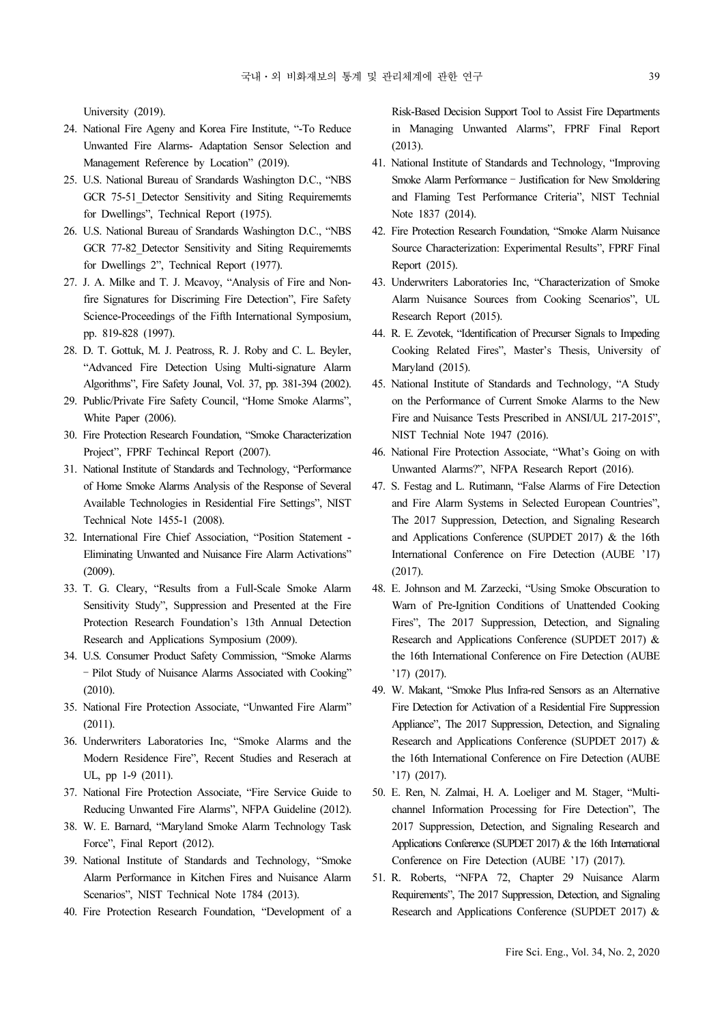University (2019).

- 24. National Fire Ageny and Korea Fire Institute, "-To Reduce Unwanted Fire Alarms- Adaptation Sensor Selection and Management Reference by Location" (2019).
- 25. U.S. National Bureau of Srandards Washington D.C., "NBS GCR 75-51 Detector Sensitivity and Siting Requirememts for Dwellings", Technical Report (1975).
- 26. U.S. National Bureau of Srandards Washington D.C., "NBS GCR 77-82\_Detector Sensitivity and Siting Requirememts for Dwellings 2", Technical Report (1977).
- 27. J. A. Milke and T. J. Mcavoy, "Analysis of Fire and Nonfire Signatures for Discriming Fire Detection", Fire Safety Science-Proceedings of the Fifth International Symposium, pp. 819-828 (1997).
- 28. D. T. Gottuk, M. J. Peatross, R. J. Roby and C. L. Beyler, "Advanced Fire Detection Using Multi-signature Alarm Algorithms", Fire Safety Jounal, Vol. 37, pp. 381-394 (2002).
- 29. Public/Private Fire Safety Council, "Home Smoke Alarms", White Paper (2006).
- 30. Fire Protection Research Foundation, "Smoke Characterization Project", FPRF Techincal Report (2007).
- 31. National Institute of Standards and Technology, "Performance of Home Smoke Alarms Analysis of the Response of Several Available Technologies in Residential Fire Settings", NIST Technical Note 1455-1 (2008).
- 32. International Fire Chief Association, "Position Statement Eliminating Unwanted and Nuisance Fire Alarm Activations" (2009).
- 33. T. G. Cleary, "Results from a Full-Scale Smoke Alarm Sensitivity Study", Suppression and Presented at the Fire Protection Research Foundation's 13th Annual Detection Research and Applications Symposium (2009).
- 34. U.S. Consumer Product Safety Commission, "Smoke Alarms – Pilot Study of Nuisance Alarms Associated with Cooking" (2010).
- 35. National Fire Protection Associate, "Unwanted Fire Alarm" (2011).
- 36. Underwriters Laboratories Inc, "Smoke Alarms and the Modern Residence Fire", Recent Studies and Reserach at UL, pp 1-9 (2011).
- 37. National Fire Protection Associate, "Fire Service Guide to Reducing Unwanted Fire Alarms", NFPA Guideline (2012).
- 38. W. E. Barnard, "Maryland Smoke Alarm Technology Task Force", Final Report (2012).
- 39. National Institute of Standards and Technology, "Smoke Alarm Performance in Kitchen Fires and Nuisance Alarm Scenarios", NIST Technical Note 1784 (2013).
- 40. Fire Protection Research Foundation, "Development of a

Risk-Based Decision Support Tool to Assist Fire Departments in Managing Unwanted Alarms", FPRF Final Report (2013).

- 41. National Institute of Standards and Technology, "Improving Smoke Alarm Performance – Justification for New Smoldering and Flaming Test Performance Criteria", NIST Technial Note 1837 (2014).
- 42. Fire Protection Research Foundation, "Smoke Alarm Nuisance Source Characterization: Experimental Results", FPRF Final Report (2015).
- 43. Underwriters Laboratories Inc, "Characterization of Smoke Alarm Nuisance Sources from Cooking Scenarios", UL Research Report (2015).
- 44. R. E. Zevotek, "Identification of Precurser Signals to Impeding Cooking Related Fires", Master's Thesis, University of Maryland (2015).
- 45. National Institute of Standards and Technology, "A Study on the Performance of Current Smoke Alarms to the New Fire and Nuisance Tests Prescribed in ANSI/UL 217-2015", NIST Technial Note 1947 (2016).
- 46. National Fire Protection Associate, "What's Going on with Unwanted Alarms?", NFPA Research Report (2016).
- 47. S. Festag and L. Rutimann, "False Alarms of Fire Detection and Fire Alarm Systems in Selected European Countries", The 2017 Suppression, Detection, and Signaling Research and Applications Conference (SUPDET 2017) & the 16th International Conference on Fire Detection (AUBE '17) (2017).
- 48. E. Johnson and M. Zarzecki, "Using Smoke Obscuration to Warn of Pre-Ignition Conditions of Unattended Cooking Fires", The 2017 Suppression, Detection, and Signaling Research and Applications Conference (SUPDET 2017) & the 16th International Conference on Fire Detection (AUBE '17) (2017).
- 49. W. Makant, "Smoke Plus Infra-red Sensors as an Alternative Fire Detection for Activation of a Residential Fire Suppression Appliance", The 2017 Suppression, Detection, and Signaling Research and Applications Conference (SUPDET 2017) & the 16th International Conference on Fire Detection (AUBE '17) (2017).
- 50. E. Ren, N. Zalmai, H. A. Loeliger and M. Stager, "Multichannel Information Processing for Fire Detection", The 2017 Suppression, Detection, and Signaling Research and Applications Conference (SUPDET 2017) & the 16th International Conference on Fire Detection (AUBE '17) (2017).
- 51. R. Roberts, "NFPA 72, Chapter 29 Nuisance Alarm Requirements", The 2017 Suppression, Detection, and Signaling Research and Applications Conference (SUPDET 2017) &